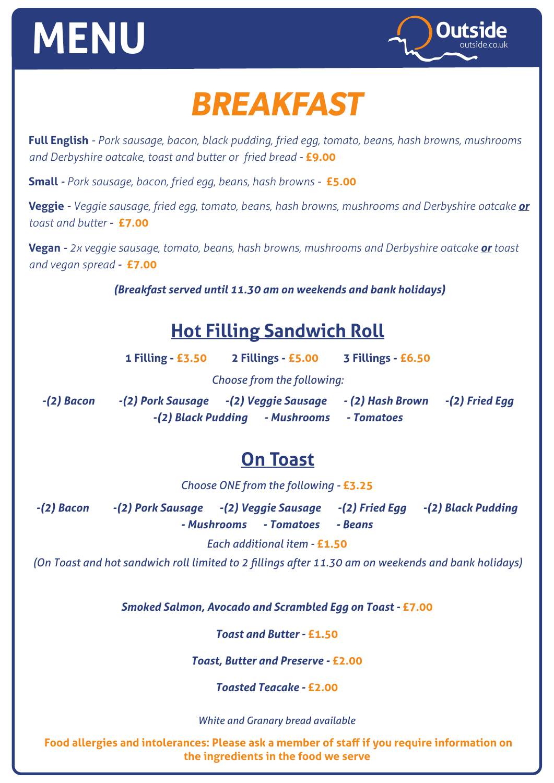# **MENU**  $\sim$



### *BREAKFAST*

**Full English** *- Pork sausage, bacon, black pudding, fried egg, tomato, beans, hash browns, mushrooms and Derbyshire oatcake, toast and butter or fried bread -* **£9.00**

**Small** *- Pork sausage, bacon, fried egg, beans, hash browns -* **£5.00**

**Veggie** *- Veggie sausage, fried egg, tomato, beans, hash browns, mushrooms and Derbyshire oatcake or toast and butter -* **£7.00**

**Vegan** *- 2x veggie sausage, tomato, beans, hash browns, mushrooms and Derbyshire oatcake or toast and vegan spread -* **£7.00**

*(Breakfast served until 11.30 am on weekends and bank holidays)*

#### **Hot Filling Sandwich Roll**

|              | <b>1 Filling - £3.50</b> | 2 Fillings - £5.00                      | 3 Fillings - £6.50 |                  |
|--------------|--------------------------|-----------------------------------------|--------------------|------------------|
|              |                          | Choose from the following:              |                    |                  |
| $-(2)$ Bacon |                          | -(2) Pork Sausage  - (2) Veggie Sausage | - (2) Hash Brown   | $-(2)$ Fried Egg |
|              |                          | -(2) Black Pudding - Mushrooms          | - Tomatoes         |                  |

#### **On Toast**

*Choose ONE from the following -* **£3.25**

*-(2) Bacon -(2) Pork Sausage -(2) Veggie Sausage -(2) Fried Egg -(2) Black Pudding - Mushrooms - Tomatoes - Beans*

*Each additional item -* **£1.50**

*(On Toast and hot sandwich roll limited to 2 fillings after 11.30 am on weekends and bank holidays)*

*Smoked Salmon, Avocado and Scrambled Egg on Toast -* **£7.00**

*Toast and Butter -* **£1.50**

*Toast, Butter and Preserve -* **£2.00**

*Toasted Teacake -* **£2.00**

*White and Granary bread available*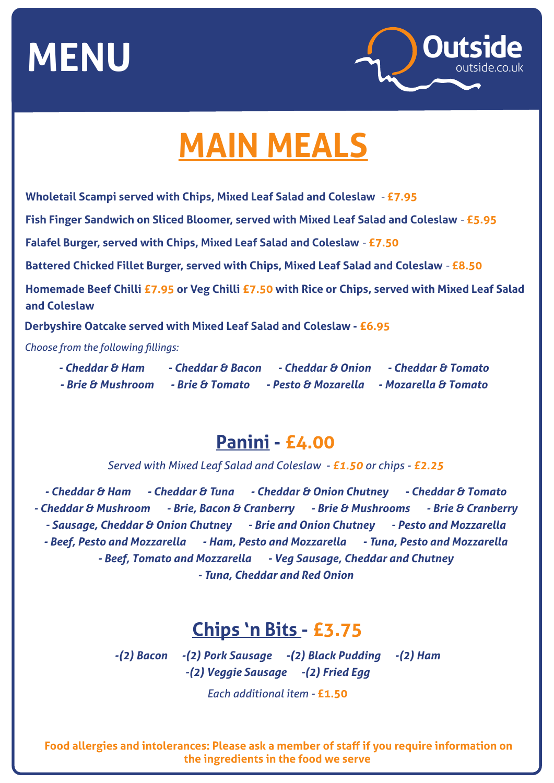

## **MAIN MEALS**

**Wholetail Scampi served with Chips, Mixed Leaf Salad and Coleslaw** *-* **£7.95**

**Fish Finger Sandwich on Sliced Bloomer, served with Mixed Leaf Salad and Coleslaw** *-* **£5.95**

**Falafel Burger, served with Chips, Mixed Leaf Salad and Coleslaw** *-* **£7.50**

**Battered Chicked Fillet Burger, served with Chips, Mixed Leaf Salad and Coleslaw** *-* **£8.50**

**Homemade Beef Chilli £7.95 or Veg Chilli £7.50 with Rice or Chips, served with Mixed Leaf Salad and Coleslaw**

**Derbyshire Oatcake served with Mixed Leaf Salad and Coleslaw - £6.95** 

*Choose from the following fillings:*

*- Cheddar & Ham - Cheddar & Bacon - Cheddar & Onion - Cheddar & Tomato - Brie & Mushroom - Brie & Tomato - Pesto & Mozarella - Mozarella & Tomato*

#### **Panini - £4.00**

*Served with Mixed Leaf Salad and Coleslaw - £1.50 or chips - £2.25*

*- Cheddar & Ham - Cheddar & Tuna - Cheddar & Onion Chutney - Cheddar & Tomato - Cheddar & Mushroom - Brie, Bacon & Cranberry - Brie & Mushrooms - Brie & Cranberry - Sausage, Cheddar & Onion Chutney - Brie and Onion Chutney - Pesto and Mozzarella - Beef, Pesto and Mozzarella - Ham, Pesto and Mozzarella - Tuna, Pesto and Mozzarella - Beef, Tomato and Mozzarella - Veg Sausage, Cheddar and Chutney - Tuna, Cheddar and Red Onion*

#### **Chips 'n Bits - £3.75**

*-(2) Bacon -(2) Pork Sausage -(2) Black Pudding -(2) Ham -(2) Veggie Sausage -(2) Fried Egg* 

*Each additional item -* **£1.50**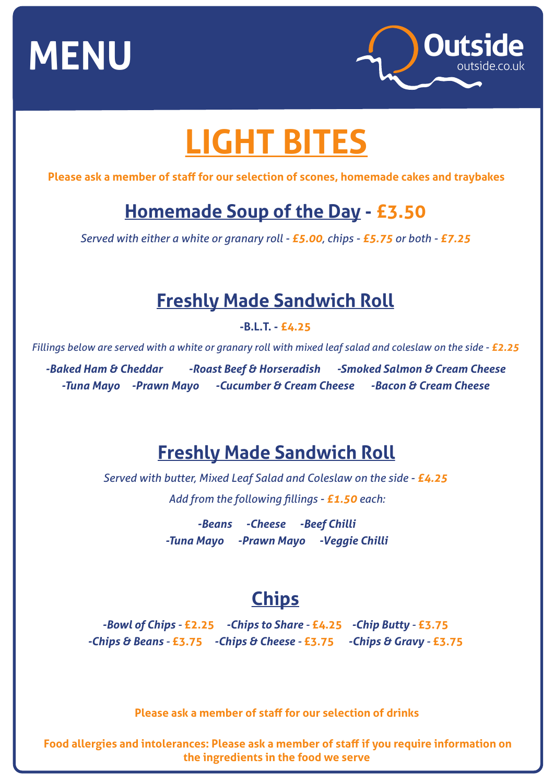

## **LIGHT BITES**

**Please ask a member of staff for our selection of scones, homemade cakes and traybakes**

### **Homemade Soup of the Day - £3.50**

*Served with either a white or granary roll - £5.00, chips - £5.75 or both - £7.25*

#### **Freshly Made Sandwich Roll**

**-B.L.T. - £4.25** 

*Fillings below are served with a white or granary roll with mixed leaf salad and coleslaw on the side - £2.25* 

**-Baked Ham & Cheddar -Roast Beef & Horseradish -Smoked Salmon & Cream Cheese** *-Tuna Mayo -Prawn Mayo -Cucumber & Cream Cheese -Bacon & Cream Cheese*

#### **Freshly Made Sandwich Roll**

*Served with butter, Mixed Leaf Salad and Coleslaw on the side - £4.25 Add from the following fillings - £1.50 each:*

> *-Beans -Cheese -Beef Chilli -Tuna Mayo -Prawn Mayo -Veggie Chilli*

### **Chips**

*-Bowl of Chips -* **£2.25** *-Chips to Share -* **£4.25** *-Chip Butty -* **£3.75** *-Chips & Beans -* **£3.75** *-Chips & Cheese -* **£3.75** *-Chips & Gravy -* **£3.75**

**Please ask a member of staff for our selection of drinks**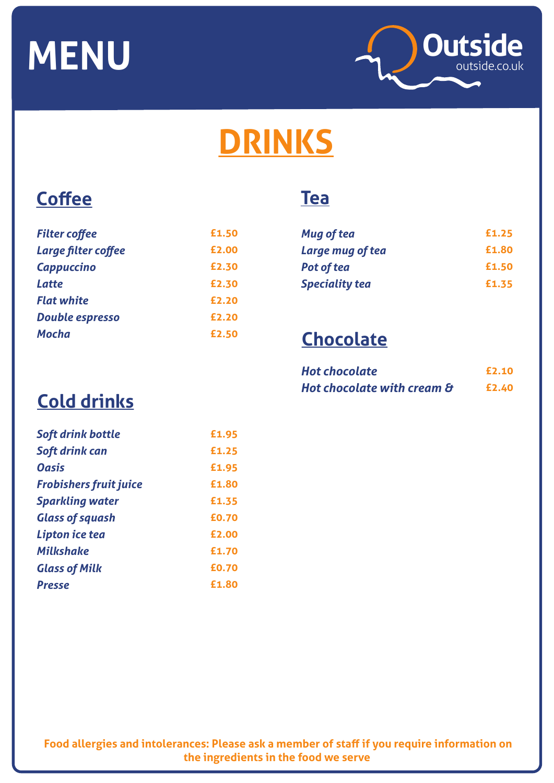

## **DRINKS**

#### **Coffee**

| <b>Filter coffee</b>   | £1.50 |
|------------------------|-------|
| Large filter coffee    | £2.00 |
| <b>Cappuccino</b>      | £2.30 |
| <b>Latte</b>           | £2.30 |
| <b>Flat white</b>      | £2.20 |
| <b>Double espresso</b> | £2.20 |
| Mocha                  | £2.50 |

#### **Tea**

| Mug of tea            | £1.25 |
|-----------------------|-------|
| Large mug of tea      | £1.80 |
| Pot of tea            | £1.50 |
| <b>Speciality tea</b> | £1.35 |

### **Chocolate**

| <b>Hot chocolate</b>       | £2.10 |
|----------------------------|-------|
| Hot chocolate with cream & | £2.40 |

### **Cold drinks**

| Soft drink bottle             | £1.95 |
|-------------------------------|-------|
| Soft drink can                | £1.25 |
| <b>Oasis</b>                  | £1.95 |
| <b>Frobishers fruit juice</b> | £1.80 |
| <b>Sparkling water</b>        | £1.35 |
| <b>Glass of squash</b>        | £0.70 |
| Lipton ice tea                | £2.00 |
| <b>Milkshake</b>              | £1.70 |
| <b>Glass of Milk</b>          | £0.70 |
| <b>Presse</b>                 | £1.80 |